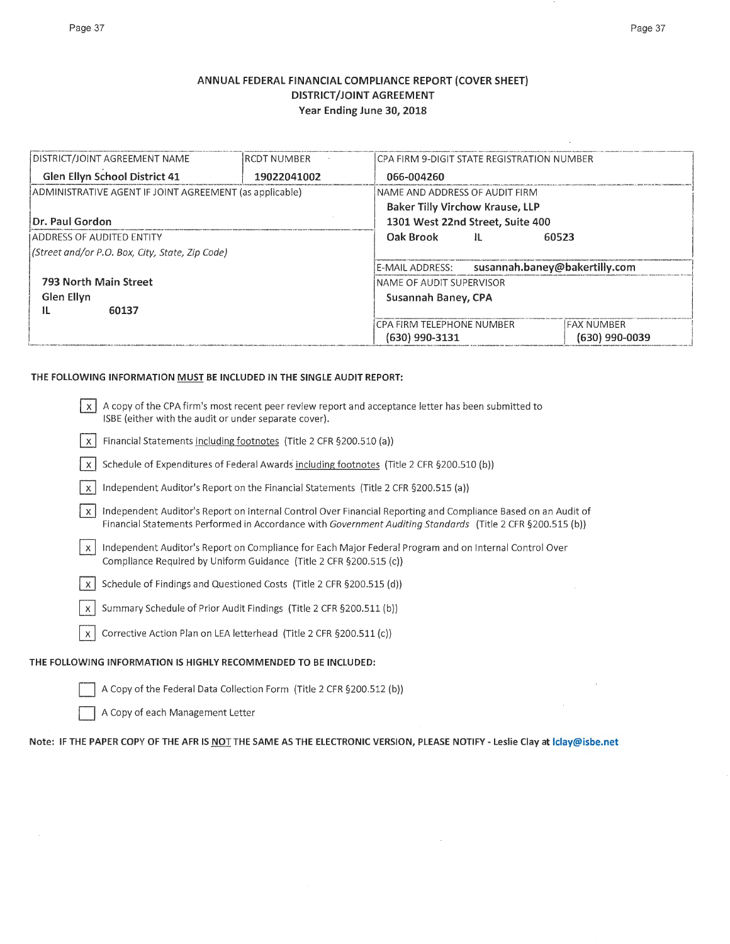$\sim$ 

# **ANNUAL FEDERAL FINANCIAL COMPLIANCE REPORT (COVER SHEET) DISTRICT/JOINT AGREEMENT Year Ending June 30, 2018**

| DISTRICT/JOINT AGREEMENT NAME                           | IRCDT NUMBER- | lCPA FIRM 9-DIGIT STATE REGISTRATION NUMBER |                                  |                               |
|---------------------------------------------------------|---------------|---------------------------------------------|----------------------------------|-------------------------------|
| Glen Ellyn School District 41                           | 19022041002   | 066-004260                                  |                                  |                               |
| ADMINISTRATIVE AGENT IF JOINT AGREEMENT (as applicable) |               | NAME AND ADDRESS OF AUDIT FIRM              |                                  |                               |
|                                                         |               | <b>Baker Tilly Virchow Krause, LLP</b>      |                                  |                               |
| Dr. Paul Gordon                                         |               |                                             | 1301 West 22nd Street, Suite 400 |                               |
| IADDRESS OF AUDITED ENTITY                              |               | <b>Oak Brook</b>                            | ΙL                               | 60523                         |
| (Street and/or P.O. Box, City, State, Zip Code)         |               |                                             |                                  |                               |
|                                                         |               | E-MAIL ADDRESS:                             |                                  | susannah.baney@bakertilly.com |
| 793 North Main Street                                   |               | INAME OF AUDIT SUPERVISOR                   |                                  |                               |
| Glen Ellyn                                              |               | Susannah Baney, CPA                         |                                  |                               |
| 60137                                                   |               |                                             |                                  |                               |
|                                                         |               | CPA FIRM TELEPHONE NUMBER                   |                                  | IFAX NUMBER                   |
|                                                         |               | (630) 990-3131                              |                                  | (630) 990-0039                |

**THE FOLLOWING INFORMATION MUST BE INCLUDED IN THE SINGLE AUDIT REPORT:** 

| $\mathsf{x}$      | A copy of the CPA firm's most recent peer review report and acceptance letter has been submitted to<br>ISBE (either with the audit or under separate cover).                                                                |
|-------------------|-----------------------------------------------------------------------------------------------------------------------------------------------------------------------------------------------------------------------------|
| $\mathsf{X}$      | Financial Statements including footnotes (Title 2 CFR §200.510 (a))                                                                                                                                                         |
| $\mathsf{X}$      | Schedule of Expenditures of Federal Awards including footnotes (Title 2 CFR §200.510 (b))                                                                                                                                   |
| $\vert$ X $\vert$ | Independent Auditor's Report on the Financial Statements (Title 2 CFR §200.515 (a))                                                                                                                                         |
| $\mathsf{X}$      | Independent Auditor's Report on Internal Control Over Financial Reporting and Compliance Based on an Audit of<br>Financial Statements Performed in Accordance with Government Auditing Standards (Title 2 CFR §200.515 (b)) |
| $\mathsf{X}$      | Independent Auditor's Report on Compliance for Each Major Federal Program and on Internal Control Over<br>Compliance Required by Uniform Guidance (Title 2 CFR §200.515 (c))                                                |
| X.                | Schedule of Findings and Questioned Costs (Title 2 CFR §200.515 (d))                                                                                                                                                        |
| $\mathsf{X}$      | Summary Schedule of Prior Audit Findings (Title 2 CFR §200.511 (b))                                                                                                                                                         |
| $\mathsf{X}$      | Corrective Action Plan on LEA letterhead (Title 2 CFR §200.511 (c))                                                                                                                                                         |
|                   | THE FOLLOWING INFORMATION IS HIGHLY RECOMMENDED TO BE INCLUDED:                                                                                                                                                             |
|                   | A Copy of the Federal Data Collection Form (Title 2 CFR § 200.512 (b))                                                                                                                                                      |

**D <br>
<u>A</u>** Copy of each Management Letter

**Note: IF THE PAPER COPY OF THE AFR IS NOT THE SAME AS THE ELECTRONIC VERSION, PLEASE NOTIFY - Leslie Clay at lclay@isbe.net** 

 $\mathcal{A}^{\pm}$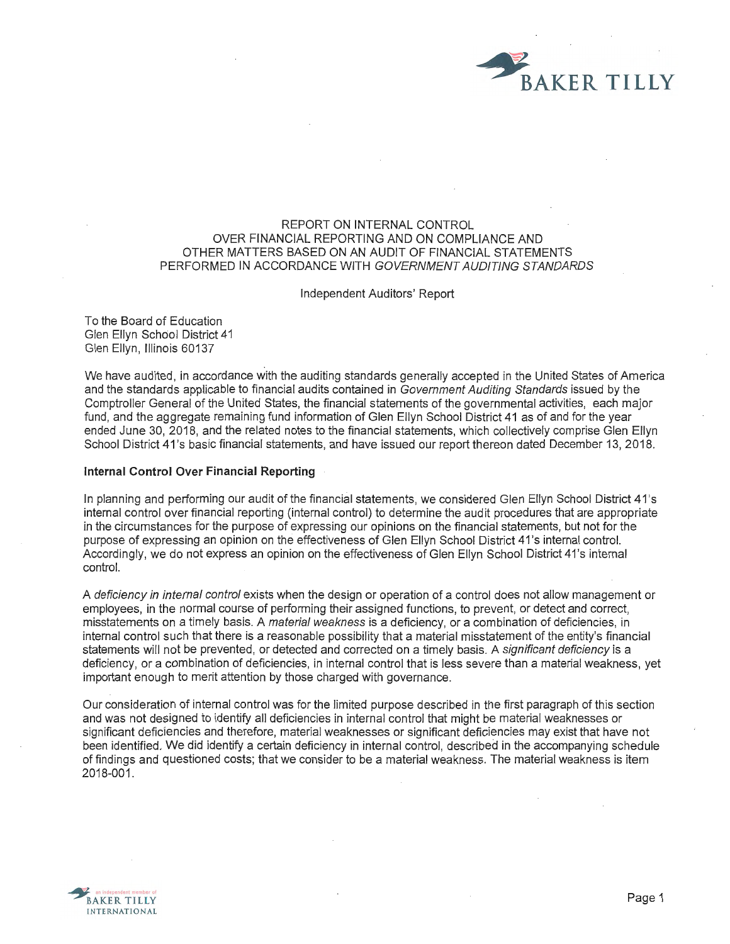

# REPORT ON INTERNAL CONTROL OVER FINANCIAL REPORTING AND ON COMPLIANCE AND OTHER MATTERS BASED ON AN AUDIT OF FINANCIAL STATEMENTS PERFORMED IN ACCORDANCE WITH GOVERNMENT AUDITING STANDARDS

Independent Auditors' Report

To the Board of Education Glen Ellyn School District 41 Glen Ellyn, Illinois 60137

We have audited, in accordance with the auditing standards generally accepted in the United States of America and the standards applicable to financial audits contained in Government Auditing Standards issued by the Comptroller General of the United States, the financial statements of the governmental activities, each major fund, and the aggregate remaining fund information of Glen Ellyn School District 41 as of and for the year ended June 30, 2018, and the related notes to the financial statements, which collectively comprise Glen Ellyn School District 41's basic financial statements, and have issued our report thereon dated December 13, 2018.

## **Internal Control Over Financial Reporting**

In planning and performing our audit of the financial statements, we considered Glen Ellyn School District 41's internal control over financial reporting (internal control) to determine the audit procedures that are appropriate in the circumstances for the purpose of expressing our opinions on the financial statements, but not for the purpose of expressing an opinion on the effectiveness of Glen Ellyn School District 41 's internal control. Accordingly, we do not express an opinion on the effectiveness of Glen Ellyn School District 41 's internal control.

A deficiency in internal control exists when the design or operation of a control does not allow management or employees, in the normal course of performing their assigned functions, to prevent, or detect and correct, misstatements on a timely basis. A material weakness is a deficiency, or a combination of deficiencies, in internal control such that there is a reasonable possibility that a material misstatement of the entity's financial statements will not be prevented, or detected and corrected on a timely basis. A significant deficiency is a deficiency, or a combination of deficiencies, in internal control that is less severe than a material weakness, yet important enough to merit attention by those charged with governance.

Our consideration of internal control was for the limited purpose described in the first paragraph of this section and was not designed to identify all deficiencies in internal control that might be material weaknesses or significant deficiencies and therefore, material weaknesses or significant deficiencies may exist that have not been identified. We did identify a certain deficiency in internal control, described in the accompanying schedule of findings and questioned costs; that we consider to be a material weakness. The material weakness is item 2018-001.

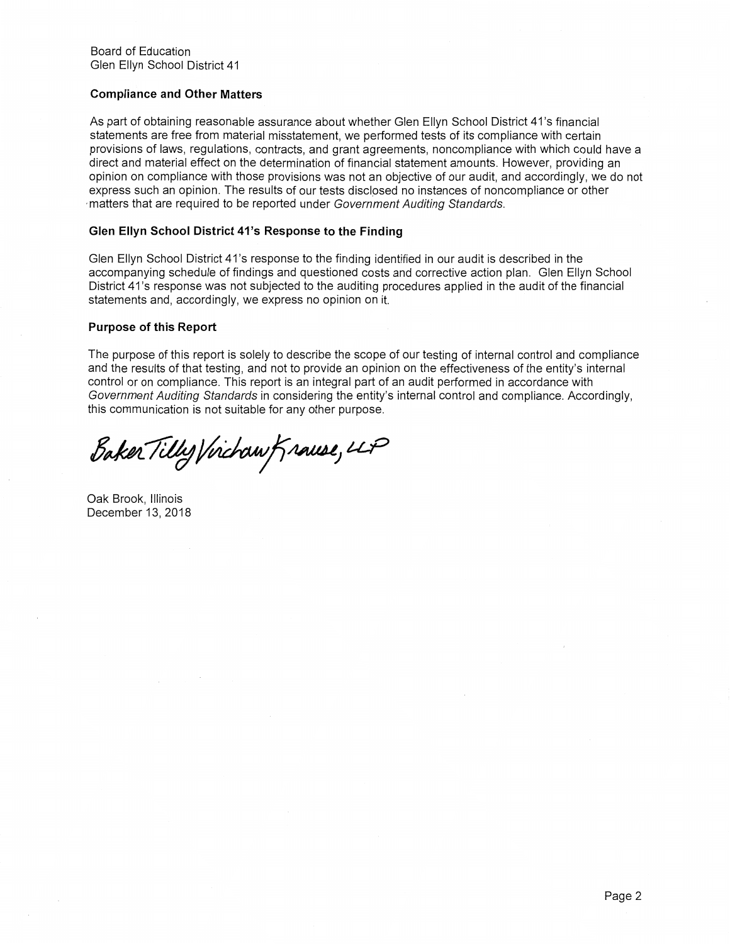Board of Education Glen Ellyn School District 41

## **Compliance and Other Matters**

As part of obtaining reasonable assurance about whether Glen Ellyn School District 41's financial statements are free from material misstatement, we performed tests of its compliance with certain provisions of laws, regulations, contracts, and grant agreements, noncompliance with which could have a direct and material effect on the determination of financial statement amounts. However, providing an opinion on compliance with those provisions was not an objective of our audit, and accordingly, we do not express such an opinion. The results of our tests disclosed no instances of noncompliance or other · matters that are required to be reported under Government Auditing Standards.

## **Glen Ellyn School District 41's Response to the Finding**

Glen Ellyn School District 41 's response to the finding identified in our audit is described in the accompanying schedule of findings and questioned costs and corrective action plan. Glen Ellyn School District 41 's response was not subjected to the auditing procedures applied in the audit of the financial statements and, accordingly, we express no opinion on it.

## **Purpose of this Report**

The purpose of this report is solely to describe the scope of our testing of internal control and compliance and the results of that testing, and not to provide an opinion on the effectiveness of the entity's internal control or on compliance. This report is an integral part of an audit performed in accordance with Government Auditing Standards in considering the entity's internal control and compliance. Accordingly, this communication is not suitable for any other purpose.

Baker Tilly Virchaw Krause, LLP

Oak Brook, Illinois December 13, 2018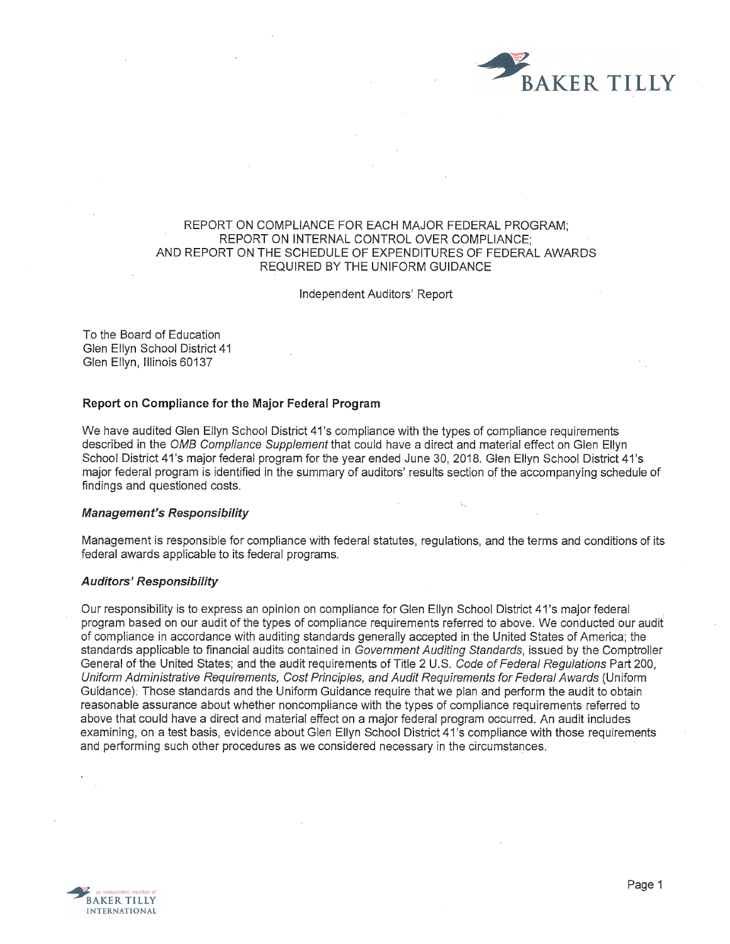

# REPORT ON COMPLIANCE FOR EACH MAJOR FEDERAL PROGRAM; REPORT ON INTERNAL CONTROL OVER COMPLIANCE; AND REPORT ON THE SCHEDULE OF EXPENDITURES OF FEDERAL AWARDS REQUIRED BY THE UNIFORM GUIDANCE

Independent Auditors' Report

To the Board of Education Glen Ellyn School District 41 Glen Ellyn, Illinois 60137

## **Report on Compliance for the Major Federal Program**

We have audited Glen Ellyn School District 41's compliance with the types of compliance requirements described in the 0MB Compliance Supplement that could have a direct and material effect on Glen Ellyn School District 41's major federal program for the year ended June 30, 2018. Glen Ellyn School District 41's major federal program is identified in the summary of auditors' results section of the accompanying schedule of findings and questioned costs.

#### **Management's Responsibility**

Management is responsible for compliance with federal statutes, regulations, and the terms and conditions of its federal awards applicable to its federal programs.

#### **Auditors' Responsibility**

Our responsibility is to express an opinion on compliance for Glen Ellyn School District 41's major federal program based on our audit of the types of compliance requirements referred to above. We conducted our audit of compliance in accordance with auditing standards generally accepted in the United States of America; the standards applicable to financial audits contained in Government Auditing Standards, issued by the Comptroller General of the United States; and the audit requirements of Title 2 U.S. Code of Federal Regulations Part 200, Uniform Administrative Requirements, Cost Principles, and Audit Requirements for Federal Awards (Uniform Guidance): Those standards and the Uniform Guidance require that we plan and perform the audit to obtain reasonable assurance about whether noncompliance with the types of compliance requirements referred to above that could have a direct and material effect on a major federal program occurred. An audit includes examining, on a test basis, evidence about Glen Ellyn School District 41's compliance with those requirements and performing such other procedures as we considered necessary in the circumstances.

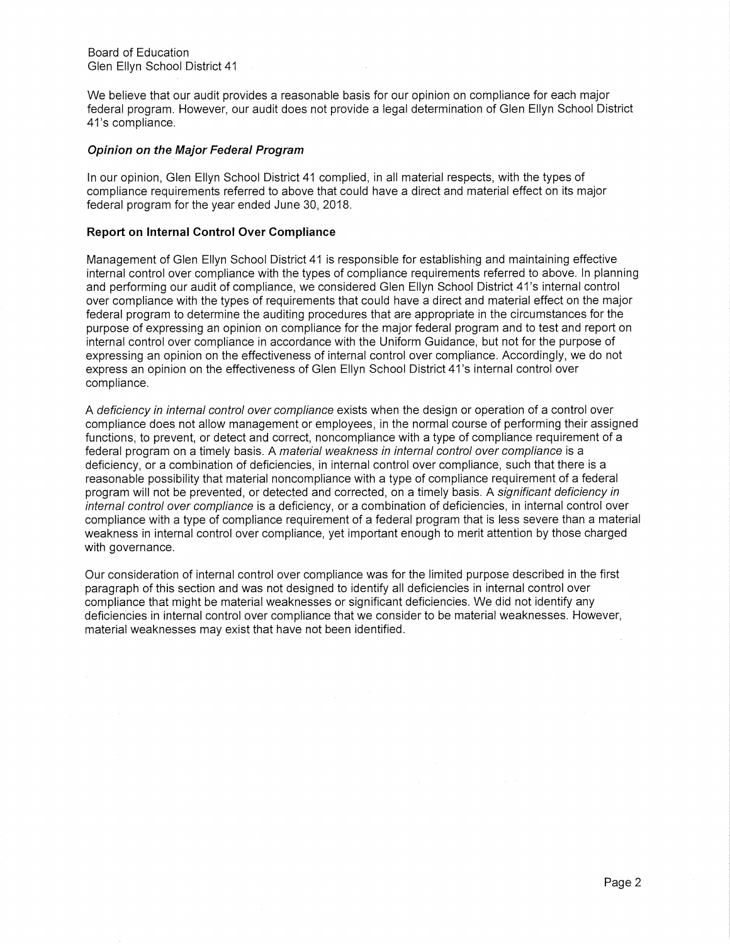Board of Education Glen Ellyn School District 41

We believe that our audit provides a reasonable basis for our opinion on compliance for each major federal program. However, our audit does not provide a legal determination of Glen Ellyn School District 41's compliance.

### **Opinion on the Major Federal Program**

In our opinion, Glen Ellyn School District 41 complied, in all material respects, with the types of compliance requirements referred to above that could have a direct and material effect on its major federal program for the year ended June 30, 2018.

## **Report on Internal Control Over Compliance**

Management of Glen Ellyn School District 41 is responsible for establishing and maintaining effective internal control over compliance with the types of compliance requirements referred to above. In planning and performing our audit of compliance, we considered Glen Ellyn School District 41 's internal control over compliance with the types of requirements that could have a direct and material effect on the major federal program to determine the auditing procedures that are appropriate in the circumstances for the purpose of expressing an opinion on compliance for the major federal program and to test and report on internal control over compliance in accordance with the Uniform Guidance, but not for the purpose of expressing an opinion on the effectiveness of internal control over compliance. Accordingly, we do not express an opinion on the effectiveness of Glen Ellyn School District 41's internal control over compliance.

A deficiency in internal control over compliance exists when the design or operation of a control over compliance does not allow management or employees, in the normal course of performing their assigned functions, to prevent, or detect and correct, noncompliance with a type of compliance requirement of a federal program on a timely basis. A material weakness in internal control over compliance is a deficiency, or a combination of deficiencies, in internal control over compliance, such that there is a reasonable possibility that material noncompliance with a type of compliance requirement of a federal program will not be prevented, or detected and corrected, on a timely basis. A significant deficiency in internal control over compliance is a deficiency, or a combination of deficiencies, in internal control over compliance with a type of compliance requirement of a federal program that is less severe than a material weakness in internal control over compliance, yet important enough to merit attention by those charged with governance.

Our consideration of internal control over compliance was for the limited purpose described in the first paragraph of this section and was not designed to identify all deficiencies in internal control over compliance that might be material weaknesses or significant deficiencies. We did not identify any deficiencies in internal control over compliance that we consider to be material weaknesses. However, material weaknesses may exist that have not been identified.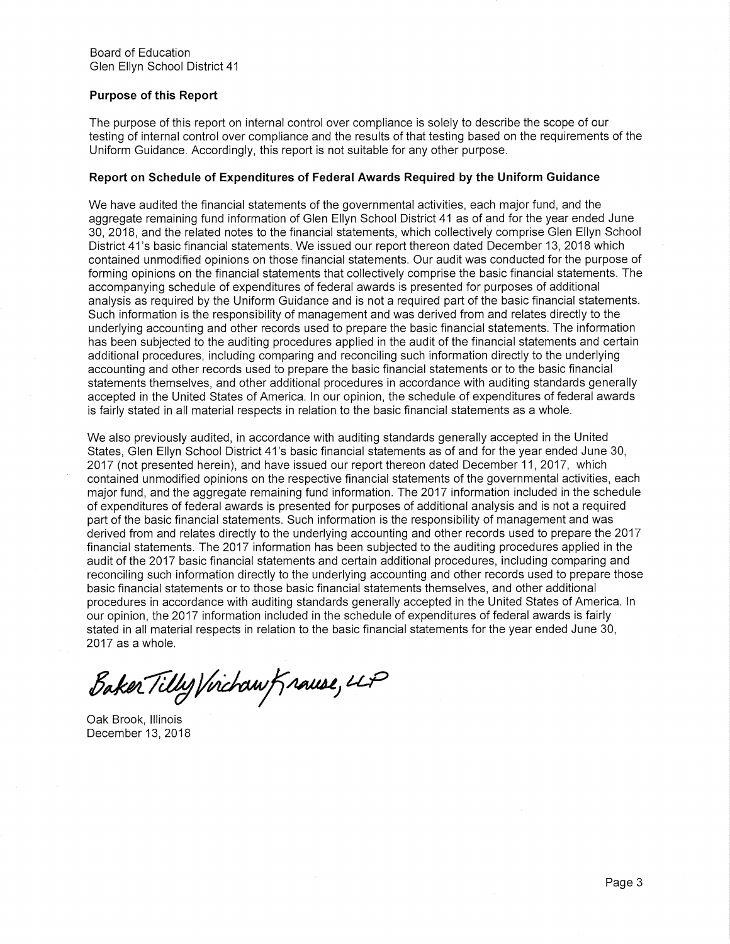# **Purpose of this Report**

The purpose of this report on internal control over compliance is solely to describe the scope of our testing of internal control over compliance and the results of that testing based on the requirements of the Uniform Guidance. Accordingly, this report is not suitable for any other purpose.

# **Report on Schedule of Expenditures of Federal Awards Required by the Uniform Guidance**

We have audited the financial statements of the governmental activities, each major fund, and the aggregate remaining fund information of Glen Ellyn School District 41 as of and for the year ended June 30, 2018, and the related notes to the financial statements, which collectively comprise Glen Ellyn School District 41's basic financial statements. We issued our report thereon dated December 13, 2018 which contained unmodified opinions on those financial statements. Our audit was conducted for the purpose of forming opinions on the financial statements that collectively comprise the basic financial statements. The accompanying schedule of expenditures of federal awards is presented for purposes of additional analysis as required by the Uniform Guidance and is not a required part of the basic financial statements. Such information is the responsibility of management and was derived from and relates directly to the underlying accounting and other records used to prepare the basic financial statements. The information has been subjected to the auditing procedures applied in the audit of the financial statements and certain additional procedures, including comparing and reconciling such information directly to the underlying accounting and other records used to prepare the basic financial statements or to the basic financial statements themselves, and other additional procedures in accordance with auditing standards generally accepted in the United States of America. In our opinion, the schedule of expenditures of federal awards is fairly stated in all material respects in relation to the basic financial statements as a whole.

We also previously audited, in accordance with auditing standards generally accepted in the United States, Glen Ellyn School District 41 's basic financial statements as of and for the year ended June 30, 2017 (not presented herein), and have issued our report thereon dated December 11, 2017, which contained unmodified opinions on the respective financial statements of the governmental activities, each major fund, and the aggregate remaining fund information. The 2017 information included in the schedule of expenditures of federal awards is presented for purposes of additional analysis and is not a required part of the basic financial statements. Such information is the responsibility of management and was derived from and relates directly to the underlying accounting and other records used to prepare the 2017 financial statements. The 2017 information has been subjected to the auditing procedures applied in the audit of the 2017 basic financial statements and certain additional procedures, including comparing and reconciling such information directly to the underlying accounting and other records used to prepare those basic financial statements or to those basic financial statements themselves, and other additional procedures in accordance with auditing standards generally accepted in the United States of America. In our opinion, the 2017 information included in the schedule of expenditures of federal awards is fairly stated in all material respects in relation to the basic financial statements for the year ended June 30, 2017 as a whole.

Baker Tilly Virchaw Krause, LLP

Oak Brook, Illinois December 13, 2018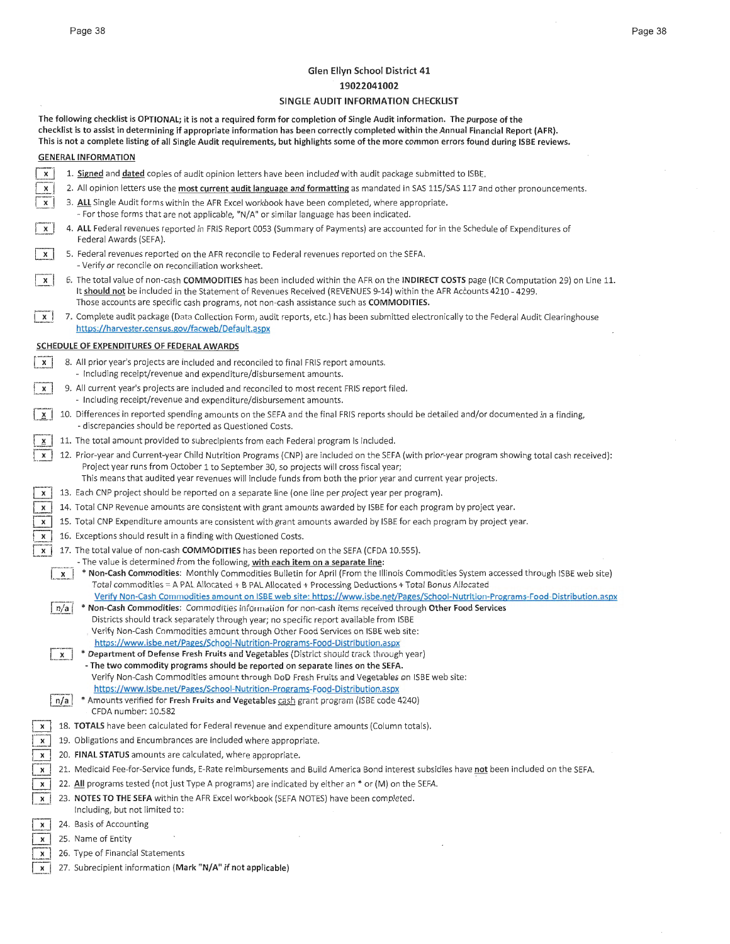# **Glen Ellyn School District 41**

# **19022041002**

# **SINGLE AUDIT INFORMATION CHECKLIST**

The following checklist is OPTIONAL; it is not a required form for completion of Single Audit information. The purpose of the checklist is to assist in determining if appropriate information has been correctly completed within the Annual Financial Report (AFR). This is not a complete listing of all Single Audit requirements, but highlights some of the more common errors found during ISBE reviews.

# **GENERAL INFORMATION**

| x                                                   |                           | 1. Signed and dated copies of audit opinion letters have been included with audit package submitted to ISBE.                                                                                                                                                                                                                                                      |
|-----------------------------------------------------|---------------------------|-------------------------------------------------------------------------------------------------------------------------------------------------------------------------------------------------------------------------------------------------------------------------------------------------------------------------------------------------------------------|
| $\pmb{\times}$                                      |                           | 2. All opinion letters use the most current audit language and formatting as mandated in SAS 115/SAS 117 and other pronouncements.                                                                                                                                                                                                                                |
| $\boldsymbol{\mathsf{x}}$                           |                           | 3. ALL Single Audit forms within the AFR Excel workbook have been completed, where appropriate.<br>- For those forms that are not applicable, "N/A" or similar language has been indicated.                                                                                                                                                                       |
| $\mathsf{x}$                                        |                           | 4. ALL Federal revenues reported in FRIS Report 0053 (Summary of Payments) are accounted for in the Schedule of Expenditures of<br>Federal Awards (SEFA).                                                                                                                                                                                                         |
| $\boldsymbol{\mathsf{x}}$                           |                           | 5. Federal revenues reported on the AFR reconcile to Federal revenues reported on the SEFA.<br>- Verify or reconcile on reconciliation worksheet.                                                                                                                                                                                                                 |
| x                                                   |                           | 6. The total value of non-cash COMMODITIES has been included within the AFR on the INDIRECT COSTS page (ICR Computation 29) on Line 11.<br>It should not be included in the Statement of Revenues Received (REVENUES 9-14) within the AFR Accounts 4210 - 4299.<br>Those accounts are specific cash programs, not non-cash assistance such as <b>COMMODITIES.</b> |
| x                                                   |                           | 7. Complete audit package (Data Collection Form, audit reports, etc.) has been submitted electronically to the Federal Audit Clearinghouse<br>https://harvester.census.gov/facweb/Default.aspx                                                                                                                                                                    |
|                                                     |                           | SCHEDULE OF EXPENDITURES OF FEDERAL AWARDS                                                                                                                                                                                                                                                                                                                        |
| $\boldsymbol{\mathsf{x}}$                           |                           | 8. All prior year's projects are included and reconciled to final FRIS report amounts.                                                                                                                                                                                                                                                                            |
|                                                     |                           | - Including receipt/revenue and expenditure/disbursement amounts.                                                                                                                                                                                                                                                                                                 |
| $\mathbf x$                                         |                           | 9. All current year's projects are included and reconciled to most recent FRIS report filed.<br>- Including receipt/revenue and expenditure/disbursement amounts.                                                                                                                                                                                                 |
| $\mathbf{x}$                                        |                           | 10. Differences in reported spending amounts on the SEFA and the final FRIS reports should be detailed and/or documented in a finding,<br>- discrepancies should be reported as Questioned Costs.                                                                                                                                                                 |
| $\mathbf{X}$                                        |                           | 11. The total amount provided to subrecipients from each Federal program is included.                                                                                                                                                                                                                                                                             |
| $\boldsymbol{\mathsf{x}}$                           |                           | 12. Prior-year and Current-year Child Nutrition Programs (CNP) are included on the SEFA (with prior-year program showing total cash received):                                                                                                                                                                                                                    |
|                                                     |                           | Project year runs from October 1 to September 30, so projects will cross fiscal year;                                                                                                                                                                                                                                                                             |
|                                                     |                           | This means that audited year revenues will include funds from both the prior year and current year projects.                                                                                                                                                                                                                                                      |
| $\pmb{\times}$                                      |                           | 13. Each CNP project should be reported on a separate line (one line per project year per program).                                                                                                                                                                                                                                                               |
| $\overline{x}$                                      |                           | 14. Total CNP Revenue amounts are consistent with grant amounts awarded by ISBE for each program by project year.                                                                                                                                                                                                                                                 |
| $\overline{\mathbf{x}}$                             |                           | 15. Total CNP Expenditure amounts are consistent with grant amounts awarded by ISBE for each program by project year.                                                                                                                                                                                                                                             |
| $\overline{\mathbf{x}}$                             |                           | 16. Exceptions should result in a finding with Questioned Costs.                                                                                                                                                                                                                                                                                                  |
| $\overline{x}$                                      |                           | 17. The total value of non-cash <b>COMMODITIES</b> has been reported on the SEFA (CFDA 10.555).                                                                                                                                                                                                                                                                   |
|                                                     | x                         | - The value is determined from the following, with each item on a separate line:<br>* Non-Cash Commodities: Monthly Commodities Bulletin for April (From the Illinois Commodities System accessed through ISBE web site)<br>Total commodities = A PAL Allocated + B PAL Allocated + Processing Deductions + Total Bonus Allocated                                 |
|                                                     |                           | Verify Non-Cash Commodities amount on ISBE web site: https://www.isbe.net/Pages/School-Nutrition-Programs-Food-Distribution.aspx                                                                                                                                                                                                                                  |
|                                                     | n/a                       | * Non-Cash Commodities: Commodities information for non-cash items received through Other Food Services<br>Districts should track separately through year; no specific report available from ISBE                                                                                                                                                                 |
|                                                     |                           | Verify Non-Cash Commodities amount through Other Food Services on ISBE web site:                                                                                                                                                                                                                                                                                  |
|                                                     |                           | https://www.isbe.net/Pages/School-Nutrition-Programs-Food-Distribution.aspx                                                                                                                                                                                                                                                                                       |
|                                                     | $\boldsymbol{\mathsf{x}}$ | * Department of Defense Fresh Fruits and Vegetables (District should track through year)                                                                                                                                                                                                                                                                          |
|                                                     |                           | - The two commodity programs should be reported on separate lines on the SEFA.<br>Verify Non-Cash Commodities amount through DoD Fresh Fruits and Vegetables on ISBE web site:                                                                                                                                                                                    |
|                                                     |                           | https://www.isbe.net/Pages/School-Nutrition-Programs-Food-Distribution.aspx                                                                                                                                                                                                                                                                                       |
|                                                     | n/a                       | * Amounts verified for Fresh Fruits and Vegetables cash grant program (ISBE code 4240)                                                                                                                                                                                                                                                                            |
|                                                     |                           | CFDA number: 10.582                                                                                                                                                                                                                                                                                                                                               |
| $\mathsf x$                                         |                           | 18. TOTALS have been calculated for Federal revenue and expenditure amounts (Column totals).                                                                                                                                                                                                                                                                      |
| $\begin{array}{c c}\nx \\ x \\ x \\ x\n\end{array}$ |                           | 19. Obligations and Encumbrances are included where appropriate.                                                                                                                                                                                                                                                                                                  |
|                                                     |                           | 20. FINAL STATUS amounts are calculated, where appropriate.                                                                                                                                                                                                                                                                                                       |
|                                                     |                           | 21. Medicaid Fee-for-Service funds, E-Rate reimbursements and Build America Bond interest subsidies have not been included on the SEFA.                                                                                                                                                                                                                           |
|                                                     |                           | 22. All programs tested (not just Type A programs) are indicated by either an * or (M) on the SEFA.                                                                                                                                                                                                                                                               |
| $\overline{\mathbf{x}}$                             |                           | 23. NOTES TO THE SEFA within the AFR Excel workbook (SEFA NOTES) have been completed.<br>Including, but not limited to:                                                                                                                                                                                                                                           |
| $\pmb{\mathsf{x}}$                                  |                           | 24. Basis of Accounting                                                                                                                                                                                                                                                                                                                                           |
| $\overline{x}$                                      |                           | 25. Name of Entity                                                                                                                                                                                                                                                                                                                                                |
| $\overline{x}$                                      |                           | 26. Type of Financial Statements                                                                                                                                                                                                                                                                                                                                  |
| $\pmb{\mathsf{x}}$                                  |                           | 27. Subrecipient information (Mark "N/A" if not applicable)                                                                                                                                                                                                                                                                                                       |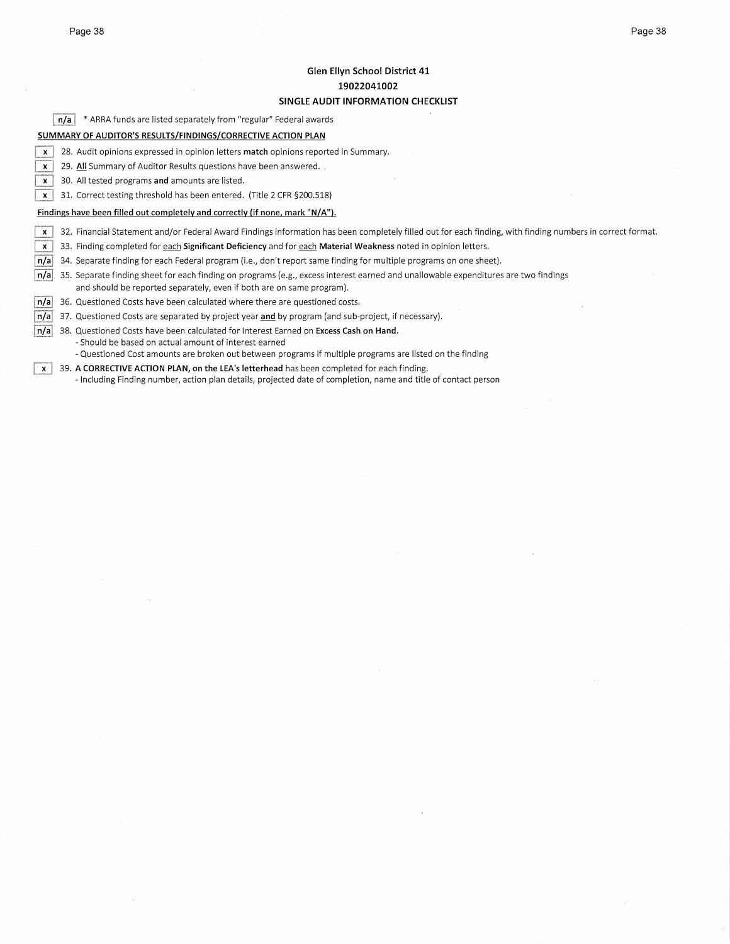## **Glen Ellyn School District 41 19022041002**

#### **SINGLE AUDIT INFORMATION CHECKLIST**

#### $\sqrt{n/a}$  \* ARRA funds are listed separately from "regular" Federal awards

#### **SUMMARY OF AUDITOR'S RESULTS/FINDINGS/CORRECTIVE ACTION PLAN**

- $\overline{\mathbf{x}}$ 28. Audit opinions expressed in opinion letters **match** opinions reported in Summary.
- $\mathbf{x}$ 29. All Summary of Auditor Results questions have been answered. .

30. All tested programs **and** amounts are listed.  $\mathbf{x}$ 

 $\overline{x}$  | 31. Correct testing threshold has been entered. (Title 2 CFR §200.518)

#### **Findings have been filled out completely and correctly {if none, mark "N/A").**

- $\mathbf{x}$ 32. Financial Statement and/or Federal Award Findings information has been completely filled out for each finding, with finding numbers in correct format.
- 33. Finding completed for each **Significant Deficiency** and for each **Material Weakness** noted in opinion letters.  $\mathbf{x}$
- **[!iLaJ** 34. Separate finding for each Federal program (i.e., don't report same finding for multiple programs on one sheet).

 $\boxed{n/a}$  35. Separate finding sheet for each finding on programs (e.g., excess interest earned and unallowable expenditures are two findings and should be reported separately, even if both are on same program).

**n/a** 36. Questioned Costs have been calculated where there are questioned costs.

[~6iJ 37. Questioned Costs are separated by project year **and** by program (and sub-project, if necessary). **:ri/a..** 38. Questioned Costs have been calculated for Interest Earned on **Excess Cash on Hand.** 

- Should be based on actual amount of interest earned

- Questioned Cost amounts are broken out between programs if multiple programs are listed on the finding

**x** 39. A CORRECTIVE ACTION PLAN, on the LEA's letterhead has been completed for each finding.

- Including Finding number, action plan details, projected date of completion, name and title of contact person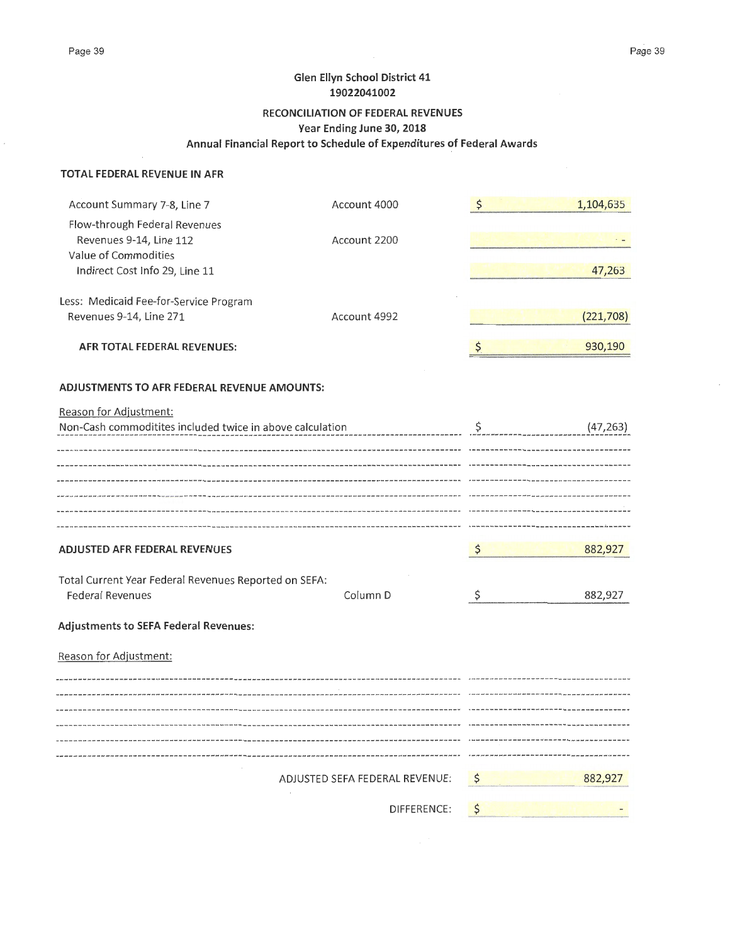# **Glen Ellyn School District 41 19022041002**

# **RECONCILIATION OF FEDERAL REVENUES**

**Year Ending June 30, 2018** 

# **Annual Financial Report to Schedule of Expenditures of Federal Awards**

# **TOTAL FEDERAL REVENUE IN AFR**

| Account Summary 7-8, Line 7                                                                                        | Account 4000                   | $\boldsymbol{\zeta}$ | 1,104,635  |
|--------------------------------------------------------------------------------------------------------------------|--------------------------------|----------------------|------------|
| Flow-through Federal Revenues<br>Revenues 9-14, Line 112<br>Value of Commodities<br>Indirect Cost Info 29, Line 11 | Account 2200                   |                      | 47,263     |
| Less: Medicaid Fee-for-Service Program                                                                             |                                |                      |            |
| Revenues 9-14, Line 271                                                                                            | Account 4992                   |                      | (221, 708) |
| AFR TOTAL FEDERAL REVENUES:                                                                                        |                                |                      | 930,190    |
| ADJUSTMENTS TO AFR FEDERAL REVENUE AMOUNTS:                                                                        |                                |                      |            |
| Reason for Adjustment:<br>Non-Cash commoditites included twice in above calculation                                |                                | \$                   | (47, 263)  |
| <b>ADJUSTED AFR FEDERAL REVENUES</b>                                                                               |                                | $\zeta$              | 882,927    |
|                                                                                                                    |                                |                      |            |
| Total Current Year Federal Revenues Reported on SEFA:<br><b>Federal Revenues</b>                                   | Column D                       | \$                   | 882,927    |
| Adjustments to SEFA Federal Revenues:                                                                              |                                |                      |            |
| Reason for Adjustment:                                                                                             |                                |                      |            |
|                                                                                                                    |                                |                      |            |
|                                                                                                                    |                                |                      |            |
|                                                                                                                    |                                |                      |            |
|                                                                                                                    | ADJUSTED SEFA FEDERAL REVENUE: | $\varsigma$          | 882,927    |
|                                                                                                                    | DIFFERENCE:                    | \$                   |            |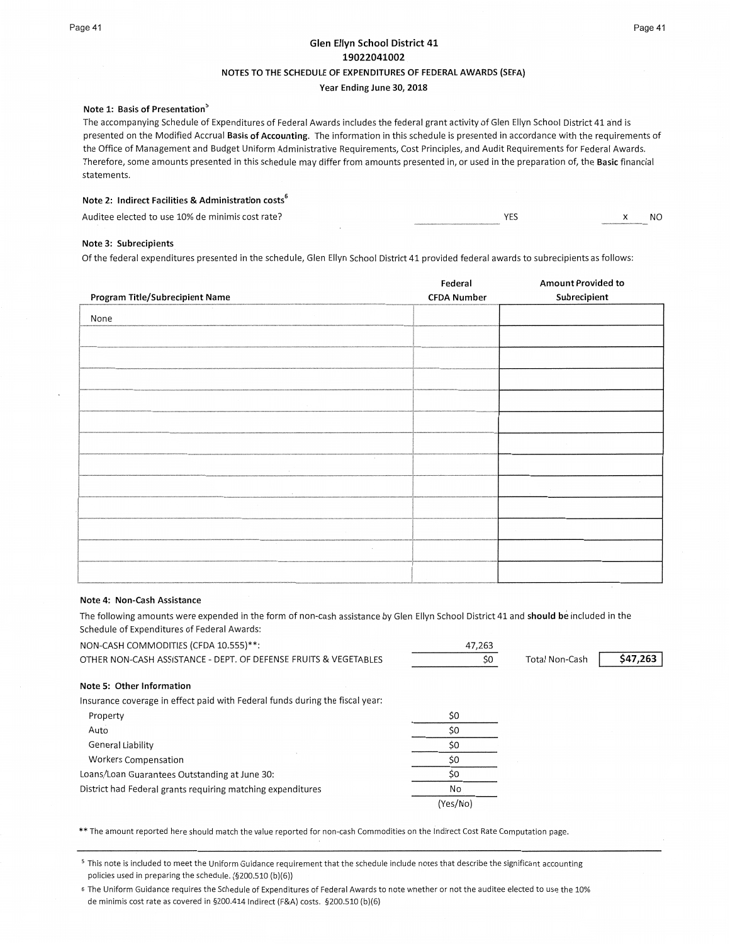# **Glen Ellyn School District 41 19022041002 NOTES TO THE SCHEDULE OF EXPENDITURES OF FEDERAL AWARDS (SEFA)**

#### **Year Ending June 30, 2018**

#### **Note 1: Basis of Presentation'**

The accompanying Schedule of Expenditures of Federal Awards includes the federal grant activity of Glen Ellyn School District 41 and is presented on the Modified Accrual **Basis of Accounting.** The information in this schedule is presented in accordance with the requirements of the Office of Management and Budget Uniform Administrative Requirements, Cost Principles, and Audit Requirements for Federal Awards. Therefore, some amounts presented in this schedule may differ from amounts presented in, or used in the preparation of, the **Basic** financial statements.

#### **Note 2: Indirect Facilities** & **Administration costs<sup>6</sup>**

| Auditee elected to use 10% de minimis cost rate? |  | N <sub>O</sub> |
|--------------------------------------------------|--|----------------|
|                                                  |  |                |

### **Note 3: Subrecipients**

Of the federal expenditures presented in the schedule, Glen Ellyn School District 41 provided federal awards to subrecipients as follows:

|                                 | Federal            | Amount Provided to |
|---------------------------------|--------------------|--------------------|
| Program Title/Subrecipient Name | <b>CFDA Number</b> | Subrecipient       |
| None                            |                    |                    |
|                                 |                    |                    |
|                                 |                    |                    |
|                                 |                    |                    |
|                                 |                    |                    |
|                                 |                    |                    |
|                                 |                    |                    |
| $\sim$<br>$\sim$                |                    |                    |
| $\sim$                          |                    | $\sim$             |
|                                 |                    |                    |
|                                 |                    |                    |
| $\sigma$                        |                    |                    |
|                                 |                    |                    |

#### **Note 4: Non-Cash Assistance**

The following amounts were expended in the form of non-cash assistance by Glen Ellyn School District 41 and **should be** included in the Schedule of Expenditures of Federal Awards:

NON-CASH COMMODITIES (CFDA 10.555)\*\*:

| $11011-2111$ CORTINIO DITILO (CI DA 10.333) $\cdots$                         | $T_{\ell}$ |                                   |  |
|------------------------------------------------------------------------------|------------|-----------------------------------|--|
| OTHER NON-CASH ASSISTANCE - DEPT. OF DEFENSE FRUITS & VEGETABLES             | \$0        | \$47,263<br><b>Total Non-Cash</b> |  |
| Note 5: Other Information                                                    |            |                                   |  |
| Insurance coverage in effect paid with Federal funds during the fiscal year: |            |                                   |  |
| Property                                                                     | \$0        |                                   |  |
| Auto                                                                         | \$0        |                                   |  |
| <b>General Liability</b>                                                     | \$0        |                                   |  |
| <b>Workers Compensation</b>                                                  | \$0        |                                   |  |
| Loans/Loan Guarantees Outstanding at June 30:                                | \$0        |                                   |  |
| District had Federal grants requiring matching expenditures                  | No         |                                   |  |
|                                                                              | (Yes/No)   |                                   |  |
|                                                                              |            |                                   |  |

47,263

\*\* The amount reported here should match the value reported for non-cash Commodities on the Indirect Cost Rate Computation page.

<sup>5</sup> This note is included to meet the Uniform Guidance requirement that the schedule include notes that describe the significant accounting policies used in preparing the schedule. (§200.510 (b){6))

• The Uniform Guidance requires the Schedule of Expenditures of Federal Awards to note whether or not the auditee elected to use the 10% de minimis cost rate as covered in §200.414 Indirect {F&A) costs. §200.510 {b){6)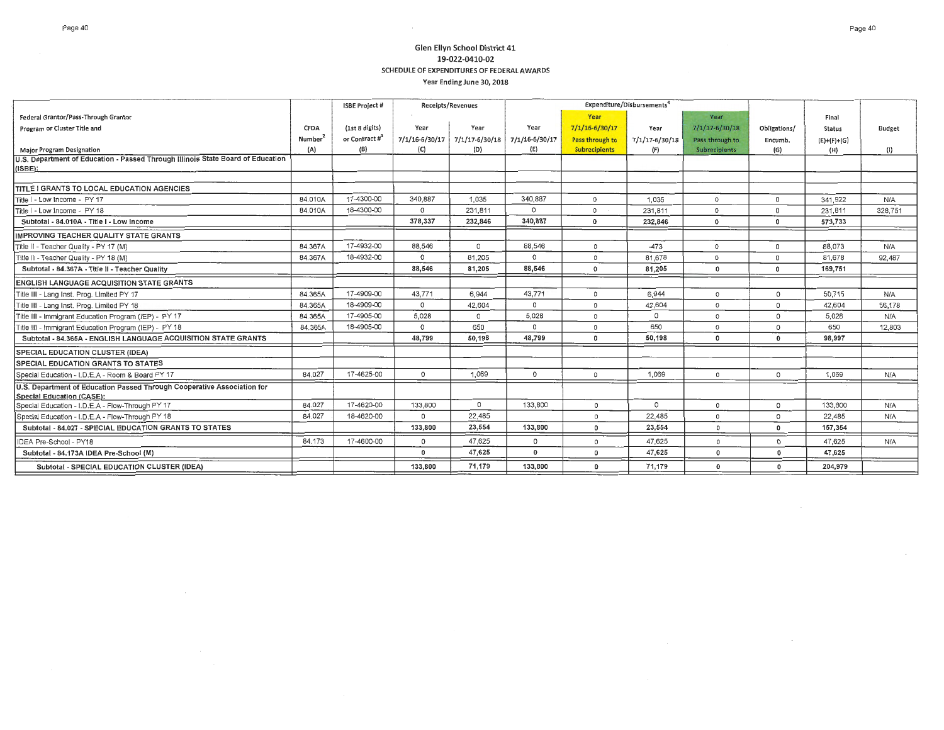#### Glen Ellyn School District 41 19-022-0410-02 SCHEDULE OF EXPENDITURES OF FEDERAL AWARDS Year Ending June 30, 2018

|                                                                                                                     |                     |                       |                   |                |                    | Expenditure/Disbursements <sup>4</sup> |                    |                    |              |               |                     |
|---------------------------------------------------------------------------------------------------------------------|---------------------|-----------------------|-------------------|----------------|--------------------|----------------------------------------|--------------------|--------------------|--------------|---------------|---------------------|
|                                                                                                                     |                     | <b>ISBE Project #</b> | Receipts/Revenues |                |                    |                                        |                    |                    |              |               |                     |
| Federal Grantor/Pass-Through Grantor                                                                                |                     |                       |                   |                |                    | Year                                   |                    | Year               |              | Final         |                     |
| Program or Cluster Title and                                                                                        | <b>CFDA</b>         | (1st 8 digits)        | Year              | Year           | Year               | $7/1/16 - 6/30/17$                     | Year               | $7/1/17 - 6/30/18$ | Obligations/ | <b>Status</b> | <b>Budget</b>       |
|                                                                                                                     | Number <sup>2</sup> | or Contract #         | 7/1/16-6/30/17    | 7/1/17-6/30/18 | $7/1/16 - 6/30/17$ | Pass through to                        | $7/1/17 - 6/30/18$ | Pass through to    | Encumb.      | $(E)+(F)+(G)$ |                     |
| <b>Major Program Designation</b><br>U.S. Department of Education - Passed Through Illinois State Board of Education | (A)                 | (B)                   | (C)               | (D)            | (E)                | <b>Subrecipients</b>                   | (F)                | Subrecipients      | (G)          | (H)           | $\langle 1 \rangle$ |
| (ISBE):                                                                                                             |                     |                       |                   |                |                    |                                        |                    |                    |              |               |                     |
|                                                                                                                     |                     |                       |                   |                |                    |                                        |                    |                    |              |               |                     |
| TITLE I GRANTS TO LOCAL EDUCATION AGENCIES                                                                          |                     |                       |                   |                |                    |                                        |                    |                    |              |               |                     |
| Title I - Low Income - PY 17                                                                                        | 84.010A             | 17-4300-00            | 340,887           | 1,035          | 340.887            | $\circ$                                | 1,035              | $\circ$            | $\Omega$     | 341,922       | N/A                 |
| Title I - Low Income - PY 18                                                                                        | 84,010A             | 18-4300-00            | $\Omega$          | 231,811        | $\Omega$           | $\circ$                                | 231,811            | $^{\circ}$         | 0            | 231,811       | 328,751             |
| Subtotal - 84,010A - Title I - Low Income                                                                           |                     |                       | 378,337           | 232,846        | 340,887            | $\bf{0}$                               | 232,846            | 0                  | $\Omega$     | 573,733       |                     |
| <b>IMPROVING TEACHER QUALITY STATE GRANTS</b>                                                                       |                     |                       |                   |                |                    |                                        |                    |                    |              |               |                     |
| Title II - Teacher Quality - PY 17 (M)                                                                              | 84.367A             | 17-4932-00            | 88,546            | $\Omega$       | 88,546             | $\circ$                                | $-473$             | $\circ$            | 0            | 88,073        | N/A                 |
| Title II - Teacher Quality - PY 18 (M)                                                                              | 84.367A             | 18-4932-00            | $\Omega$          | 81,205         | $\circ$            | $\circ$                                | 81,678             | $\mathbf 0$        | 0            | 81,678        | 92,487              |
| Subtotal - 84.367A - Title II - Teacher Quality                                                                     |                     |                       | 88,546            | 81,205         | 88,546             | $\overline{0}$                         | 81,205             | $\mathbf 0$        | $\mathbf 0$  | 169,751       |                     |
| <b>ENGLISH LANGUAGE ACQUISITION STATE GRANTS</b>                                                                    |                     |                       |                   |                |                    |                                        |                    |                    |              |               |                     |
| Title III - Lang Inst. Prog. Limited PY 17                                                                          | 84.365A             | 17-4909-00            | 43,771            | 6,944          | 43,771             | $\circ$                                | 6.944              | $\circ$            | $\Omega$     | 50,715        | N/A                 |
| Title III - Lang Inst. Prog. Limited PY 18                                                                          | 84.365A             | 18-4909-00            | $\Omega$          | 42,604         | $\circ$            | $\circ$                                | 42,604             | $^{\circ}$         | $\mathbf 0$  | 42,604        | 56,178              |
| Title III - Immigrant Education Program ('/EP') - PY 17                                                             | 84.365A             | 17-4905-00            | 5,028             | $\circ$        | 5,028              | $\circ$                                | $\Omega$           | $\circ$            | $\Omega$     | 5,028         | N/A                 |
| Title III - Immigrant Education Program (IEP) - PY 18                                                               | 84.365A             | 18-4905-00            | $\Omega$          | 650            | $\circ$            | $\circ$                                | 650                | $\mathbf 0$        | $\Omega$     | 650           | 12,803              |
| Subtotal - 84.365A - ENGLISH LANGUAGE ACQUISITION STATE GRANTS                                                      |                     |                       | 48,799            | 50,198         | 48,799             | 0                                      | 50,198             | $^{\circ}$         | $\Omega$     | 98,997        |                     |
| <b>SPECIAL EDUCATION CLUSTER (IDEA)</b>                                                                             |                     |                       |                   |                |                    |                                        |                    |                    |              |               |                     |
| <b>SPECIAL EDUCATION GRANTS TO STATES</b>                                                                           |                     |                       |                   |                |                    |                                        |                    |                    |              |               |                     |
| Special Education - I.D.E.A - Room & Board PY 17                                                                    | 84.027              | 17-4625-00            | $\circ$           | 1,069          | $\circ$            | $\circ$                                | 1,069              | $\circ$            | $\Omega$     | 1,069         | N/A                 |
| U.S. Department of Education Passed Through Cooperative Association for<br><b>Special Education (CASE):</b>         |                     |                       |                   |                |                    |                                        |                    |                    |              |               |                     |
| Special Education - I.D.E.A - Flow-Through PY 17                                                                    | 84.027              | 17-4620-00            | 133,800           | 0              | 133,800            | $\circ$                                | $\circ$            | $\circ$            | $\circ$      | 133,800       | N/A                 |
| Special Education - I.D.E.A - Flow-Through PY 18                                                                    | 84.027              | 18-4620-00            | $\Omega$          | 22,485         |                    | $\circ$                                | 22,485             | $\circ$            | $\Omega$     | 22,485        | N/A                 |
| Subtotal - 84.027 - SPECIAL EDUCATION GRANTS TO STATES                                                              |                     |                       | 133,800           | 23,554         | 133,800            | $\mathbf 0$                            | 23,554             | $\circ$            | $\Omega$     | 157,354       |                     |
| IDEA Pre-School - PY18                                                                                              | 84.173              | 17-4600-00            | $\circ$           | 47,625         | $\circ$            | $\circ$                                | 47,625             | $\circ$            | $\circ$      | 47,625        | N/A                 |
| Subtotal - 84.173A IDEA Pre-School (M)                                                                              |                     |                       | $\Omega$          | 47,625         | $\Omega$           | $\mathbf 0$                            | 47,625             | $\mathbf 0$        | $\Omega$     | 47,625        |                     |
| Subtotal - SPECIAL EDUCATION CLUSTER (IDEA)                                                                         |                     |                       | 133,800           | 71,179         | 133,800            | $\bf{0}$                               | 71,179             | $\Omega$           | 0            | 204,979       |                     |

 $\sim$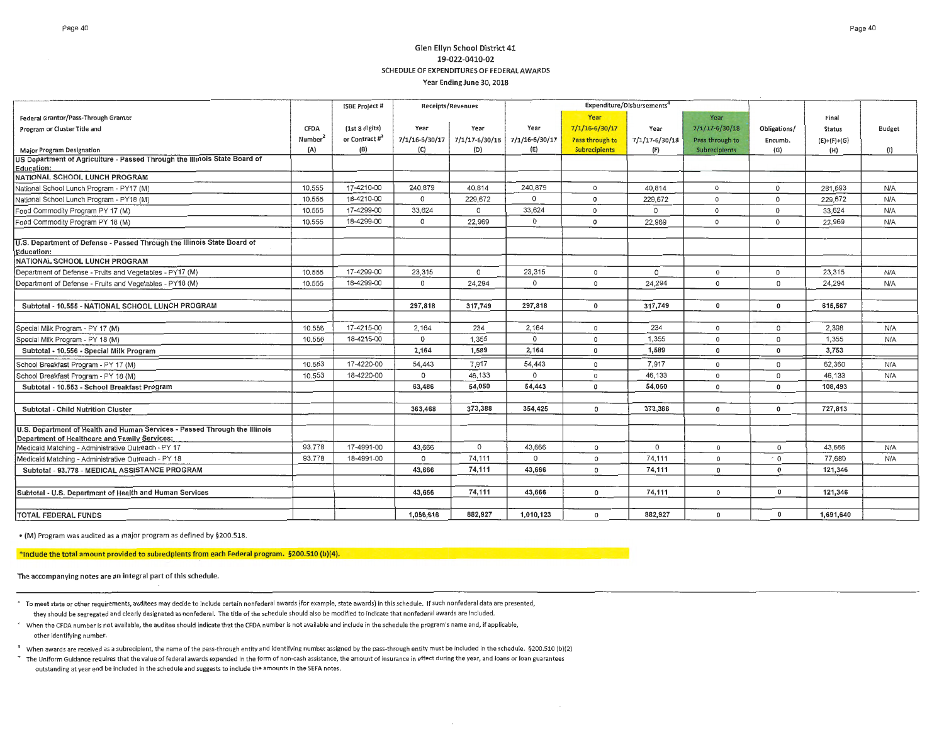#### Glen Ellyn School District 41 19-022-0410-02 SCHEDULE OF EXPENDITURES OF FEDERAL AWARDS Year Ending June 30, 2018

|                                                                                                                             |                     | ISBE Project #             |                | Receipts/Revenues | Expenditure/Disbursements <sup>4</sup> |                      |                    |                      |              |               |               |
|-----------------------------------------------------------------------------------------------------------------------------|---------------------|----------------------------|----------------|-------------------|----------------------------------------|----------------------|--------------------|----------------------|--------------|---------------|---------------|
| Federal Grantor/Pass-Through Grantor                                                                                        |                     |                            |                |                   |                                        | Year                 |                    | Year                 |              | Final         |               |
| Program or Cluster Title and                                                                                                | <b>CFDA</b>         | (1st 8 digits)             | Year           | Year              | Year                                   | $7/1/16 - 6/30/17$   | Year               | $7/1/17 - 6/30/18$   | Obligations/ | <b>Status</b> | <b>Budget</b> |
|                                                                                                                             | Number <sup>2</sup> | or Contract # <sup>3</sup> | 7/1/16-6/30/17 | 7/1/17-6/30/18    | 7/1/16-6/30/17                         | Pass through to      | $7/1/17 - 6/30/18$ | Pass through to      | Encumb.      | $(E)+(F)+(G)$ |               |
| <b>Major Program Designation</b>                                                                                            | (A)                 | (B)                        | (C)            | (D)               | (E)                                    | <b>Subrecipients</b> | (F)                | <b>Subrecipients</b> | (G)          | (H)           | (1)           |
| US Department of Agriculture - Passed Through the Illinois State Board of<br>Education:                                     |                     |                            |                |                   |                                        |                      |                    |                      |              |               |               |
| NATIONAL SCHOOL LUNCH PROGRAM                                                                                               |                     |                            |                |                   |                                        |                      |                    |                      |              |               |               |
| National School Lunch Program - PY17 (M)                                                                                    | 10.555              | 17-4210-00                 | 240,879        | 40,814            | 240,879                                | $\circ$              | 40,814             | $\circ$              | $\circ$      | 281,693       | N/A           |
| National School Lunch Program - PY18 (M)                                                                                    | 10.555              | 18-4210-00                 | $\circ$        | 229,672           | $\mathbf 0$                            | $\mathbf 0$          | 229,672            | $^{\circ}$           | $\circ$      | 229,672       | N/A           |
| Food Commodity Program PY 17 (M)                                                                                            | 10.555              | 17-4299-00                 | 33,624         | $\circ$           | 33,624                                 | $\circ$              | 0                  | $\circ$              | $^{\circ}$   | 33,624        | N/A           |
| Food Commodity Program PY 18 (M)                                                                                            | 10.555              | 18-4299-00                 | $\circ$        | 22,969            | $\circ$                                | $\mathbf 0$          | 22,969             | $\Omega$             | $\Omega$     | 22,969        | N/A           |
| U.S. Department of Defense - Passed Through the Illinois State Board of<br>Education:                                       |                     |                            |                |                   |                                        |                      |                    |                      |              |               |               |
| NATIONAL SCHOOL LUNCH PROGRAM                                                                                               |                     |                            |                |                   |                                        |                      |                    |                      |              |               |               |
| Department of Defense - Fruits and Vegetables - PY17 (M)                                                                    | 10.555              | 17-4299-00                 | 23,315         | $\circ$           | 23,315                                 | $\circ$              | $\circ$            | $\mathbf{O}$         | $\mathbf 0$  | 23,315        | ነዛንት          |
| Department of Defense - Fruits and Vegetables - PY18 (M)                                                                    | 10.555              | 18-4299-00                 | 0              | 24,294            | $\circ$                                | $\circ$              | 24.294             | $\circ$              | 0            | 24,294        | N/A           |
| Subtotal - 10,555 - NATIONAL SCHOOL LUNCH PROGRAM                                                                           |                     |                            | 297,818        | 317,749           | 297,818                                | $\bf{0}$             | 317,749            | $^{\circ}$           | $\mathbf 0$  | 615,567       |               |
| Special Milk Program - PY 17 (M)                                                                                            | 10.556              | 17-4215-00                 | 2,164          | 234               | 2,164                                  | $\mathsf{O}$         | 234                | $^{\circ}$           | C.           | 2,398         | N/A           |
| Special Milk Program - PY 18 (M)                                                                                            | 10,556              | 18-4215-00                 | $\Omega$       | 1,355             | $\circ$                                | $\circ$              | 1,355              | $\mathbf{O}$         | $\circ$      | 1,355         | N/A           |
| Subtotal - 10.556 - Special Milk Program                                                                                    |                     |                            | 2,164          | 1,589             | 2,164                                  | $\mathbf 0$          | 1,589              | $^{\circ}$           | $\mathbf 0$  | 3,753         |               |
| School Breakfast Program - PY 17 (M)                                                                                        | 10.553              | 17-4220-00                 | 54,443         | 7,917             | 54,443                                 | $\mathsf{O}$         | 7,917              | $\circ$              | 0            | 62,360        | N/A           |
| School Breakfast Program - PY 18 (M)                                                                                        | 10.553              | 18-4220-00                 | $\circ$        | 46,133            | $\circ$                                | $\circ$              | 46,133             | $\circ$              | $\mathbf 0$  | 46,133        | N/A           |
| Subtotal - 10.553 - School Breakfast Program                                                                                |                     |                            | 63,486         | 54,050            | 54,443                                 | $\mathbf 0$          | 54,050             | $\circ$              | $\mathbf{0}$ | 108,493       |               |
|                                                                                                                             |                     |                            |                |                   |                                        |                      |                    |                      |              |               |               |
| Subtotal - Child Nutrition Cluster                                                                                          |                     |                            | 363,468        | 373,388           | 354,425                                | $\Omega$             | 373,388            | 0                    | 0            | 727,813       |               |
| U.S. Department of Health and Human Services - Passed Through the Illinois<br>Department of Healthcare and Family Services: |                     |                            |                |                   |                                        |                      |                    |                      |              |               |               |
| Medicaid Matching - Administrative Outreach - PY 17                                                                         | 93.778              | 17-4991-00                 | 43,666         | $\mathbf 0$       | 43,666                                 | $^{\circ}$           | $\circ$            | $\circ$              | $\mathbf 0$  | 43,666        | N/A           |
| Medicaid Matching - Administrative Outreach - PY 18                                                                         | 93.778              | 18-4991-00                 | $\circ$        | 74,111            | 0                                      | $\mathbf 0$          | 74,111             | $\circ$              | $^{\circ}$ 0 | 77,680        | N/A           |
| Subtotal - 93,778 - MEDICAL ASSISTANCE PROGRAM                                                                              |                     |                            | 43,666         | 74,111            | 43,666                                 | $\Omega$             | 74,111             | $\mathbf 0$          | $\mathbf{0}$ | 121,346       |               |
|                                                                                                                             |                     |                            |                |                   |                                        |                      |                    |                      |              |               |               |
| Subtotal - U.S. Department of Health and Human Services                                                                     |                     |                            | 43,666         | 74,111            | 43,666                                 | $\mathbf 0$          | 74,111             | $\circ$              | $\mathbf{0}$ | 121,346       |               |
| <b>TOTAL FEDERAL FUNDS</b>                                                                                                  |                     |                            | 1,056,616      | 882,927           | 1,010,123                              | $^{\circ}$           | 882,927            | $\mathbf 0$          | $^{\circ}$   | 1,691,640     |               |
|                                                                                                                             |                     |                            |                |                   |                                        |                      |                    |                      |              |               |               |

• (M) Program was audited as a major program as defined by §200.518.

\*include the total amount provided to subrecipients from each Federal program. §200.510 (b)(4).

The accompanying notes are an integral part of this schedule.

**To meet state or other requirements, auditees may decide to include certain nonfederal awards {for example, state awards) in this schedule. If such nonfederal data are presented, they should be segregated and clearly designated as nonfederal. The title of the schedule should also be modified to indicate t hat nonfederal awards are included.** 

**W hen the CFDA number is not available, the auditee should indicate t hat the CFDA number is not available and include in the schedule the program's name and, if applicable, other identifying number.** 

<sup>3</sup> When awards are received as a subrecipient, the name of the pass-through entity and identifying number assigned by the pass-through entity must be included in the schedule. §200.510 (b)(2)

- **The Uniform Guidance requires that the value of federal awards expended in the form of non-cash assistance, the amount of insurance in effect during the year, and loans or loan guarantees outstanding at year end be included in the schedule and suggests to include the amounts in the SEFA notes.**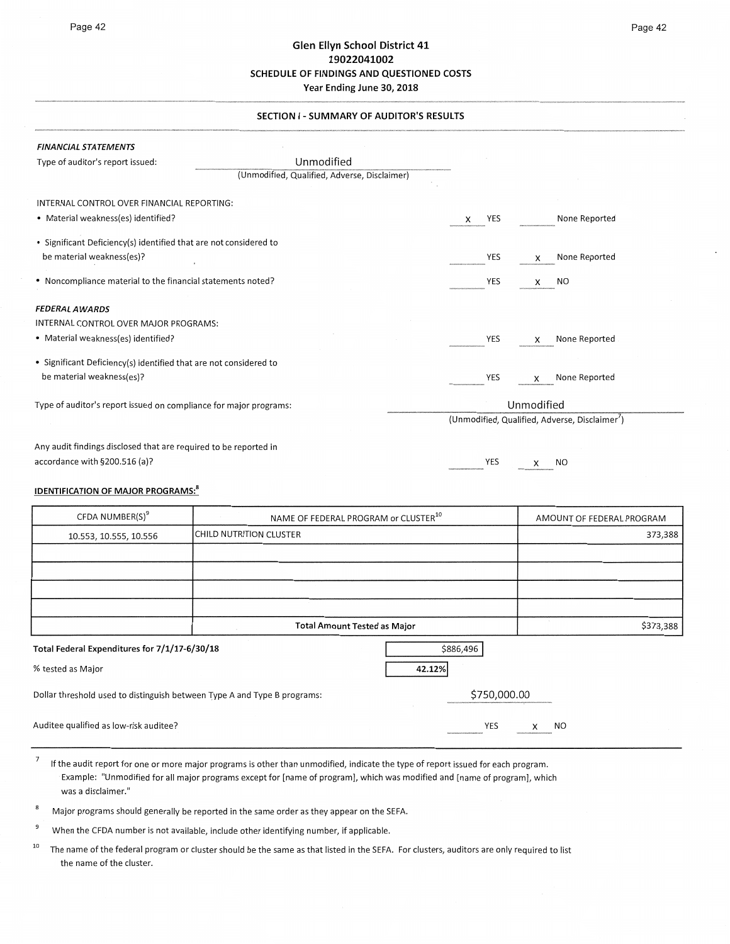# **Glen Ellyn School District 41 19022041002 SCHEDULE OF FINDINGS AND QUESTIONED COSTS Year Ending June 30, 2018**

| <b>FINANCIAL STATEMENTS</b>                                       |                                              |   |            |            |                                               |
|-------------------------------------------------------------------|----------------------------------------------|---|------------|------------|-----------------------------------------------|
| Type of auditor's report issued:                                  | Unmodified                                   |   |            |            |                                               |
|                                                                   | (Unmodified, Qualified, Adverse, Disclaimer) |   |            |            |                                               |
| INTERNAL CONTROL OVER FINANCIAL REPORTING:                        |                                              |   |            |            |                                               |
| • Material weakness(es) identified?                               |                                              | X | YES        |            | None Reported                                 |
| • Significant Deficiency(s) identified that are not considered to |                                              |   |            |            |                                               |
| be material weakness(es)?                                         |                                              |   | <b>YES</b> | x          | None Reported                                 |
| • Noncompliance material to the financial statements noted?       |                                              |   | YES        | X          | NO                                            |
| <b>FEDERAL AWARDS</b>                                             |                                              |   |            |            |                                               |
| INTERNAL CONTROL OVER MAJOR PROGRAMS:                             |                                              |   |            |            |                                               |
| • Material weakness(es) identified?                               |                                              |   | <b>YES</b> | x          | None Reported                                 |
| • Significant Deficiency(s) identified that are not considered to |                                              |   |            |            |                                               |
| be material weakness(es)?                                         |                                              |   | <b>YES</b> | x          | None Reported                                 |
| Type of auditor's report issued on compliance for major programs: |                                              |   |            | Unmodified |                                               |
|                                                                   |                                              |   |            |            | (Unmodified, Qualified, Adverse, Disclaimer') |
| Any audit findings disclosed that are required to be reported in  |                                              |   |            |            |                                               |
| accordance with §200.516 (a)?                                     |                                              |   | <b>YES</b> | x          | NO                                            |

#### **IDENTIFICATION OF MAJOR PROGRAMS:**<sup>8</sup>

| CFDA NUMBER(S) <sup>9</sup>                                              | NAME OF FEDERAL PROGRAM or CLUSTER <sup>10</sup> | AMOUNT OF FEDERAL PROGRAM |           |
|--------------------------------------------------------------------------|--------------------------------------------------|---------------------------|-----------|
| 10.553, 10.555, 10.556                                                   | CHILD NUTRITION CLUSTER                          |                           | 373,388   |
|                                                                          |                                                  |                           |           |
|                                                                          |                                                  |                           |           |
|                                                                          |                                                  |                           |           |
|                                                                          |                                                  |                           |           |
|                                                                          | <b>Total Amount Tested as Major</b>              |                           | \$373,388 |
| Total Federal Expenditures for 7/1/17-6/30/18                            |                                                  | \$886,496                 |           |
| % tested as Major                                                        |                                                  | 42.12%                    |           |
| Dollar threshold used to distinguish between Type A and Type B programs: |                                                  | \$750,000.00              |           |
| Auditee qualified as low-risk auditee?                                   |                                                  | YES                       | NO.       |

- $\boldsymbol{7}$ If the audit report for one or more major programs is other than unmodified, indicate the type of report issued for each program. Example: "Unmodified for all major programs except for [name of program], which was modified and [name of program], which was a disclaimer."
- 8 Major programs should generally be reported in the same order as they appear on the SEFA.
- $\overline{9}$ When the CFDA number is not available, include other identifying number, if applicable.
- 10 The name of the federal program or cluster should be the same as that listed in the SEFA. For clusters, auditors are only required to list the name of the cluster.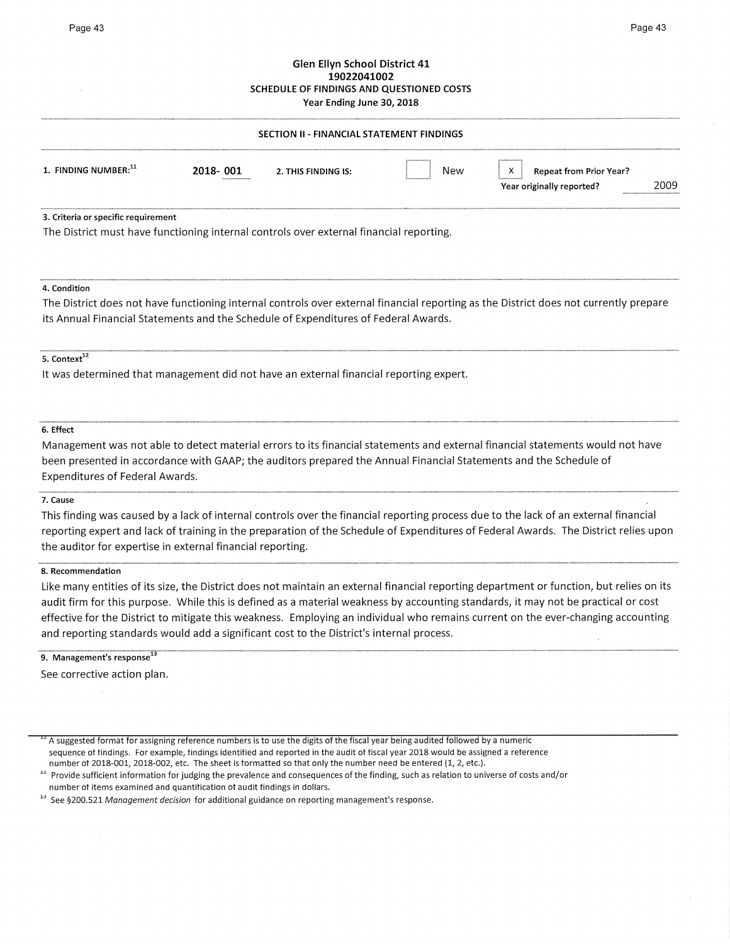### Glen Ellyn School District 41 19022041002 SCHEDULE OF FINDINGS AND QUESTIONED COSTS Year Ending June 30, 2018

| <b>SECTION II - FINANCIAL STATEMENT FINDINGS</b>                                        |          |                     |     |                                                                                                                                       |      |  |  |  |
|-----------------------------------------------------------------------------------------|----------|---------------------|-----|---------------------------------------------------------------------------------------------------------------------------------------|------|--|--|--|
| 1. FINDING NUMBER: <sup>11</sup>                                                        | 2018-001 | 2. THIS FINDING IS: | New | <b>Repeat from Prior Year?</b><br>Year originally reported?                                                                           | 2009 |  |  |  |
| 3. Criteria or specific requirement                                                     |          |                     |     |                                                                                                                                       |      |  |  |  |
| The District must have functioning internal controls over external financial reporting. |          |                     |     |                                                                                                                                       |      |  |  |  |
| 4. Condition                                                                            |          |                     |     |                                                                                                                                       |      |  |  |  |
|                                                                                         |          |                     |     | The District does not have functioning internal controls over external financial reporting as the District does not currently prepare |      |  |  |  |
| its Annual Financial Statements and the Schedule of Expenditures of Federal Awards.     |          |                     |     |                                                                                                                                       |      |  |  |  |
| 5. Context <sup>12</sup>                                                                |          |                     |     |                                                                                                                                       |      |  |  |  |
| It was determined that management did not have an external financial reporting expert.  |          |                     |     |                                                                                                                                       |      |  |  |  |
|                                                                                         |          |                     |     |                                                                                                                                       |      |  |  |  |

#### **6. Effect**

Management was not able to detect material errors to its financial statements and external financial statements would not have been presented in accordance with GAAP; the auditors prepared the Annual Financial Statements and the Schedule of Expenditures of Federal Awards.

#### **7.Cause**

This finding was caused by a lack of internal controls over the financial reporting process due to the lack of an external financial reporting expert and lack of training in the preparation of the Schedule of Expenditures of Federal Awards. The District relies upon the auditor for expertise in external financial reporting.

#### **8. Recommendation**

Like many entities of its size, the District does not maintain an external financial reporting department or function, but relies on its audit firm for this purpose. While this is defined as a material weakness by accounting standards, it may not be practical or cost effective for the District to mitigate this weakness. Employing an individual who remains current on the ever-changing accounting and reporting standards would add a significant cost to the District's internal process.

# 9. Management's response<sup>13</sup>

See corrective action plan.

A suggested format for assigning reference numbers is to use the digits of the fiscal year being audited followed by a numeric sequence ot tindings. For example, tindings identitied and reported in the audit ot tiscal year 2018 would be assigned a reterence number ot 2018-001, 2018-002, etc. The sheet is tormatted so that only the number need be entered (1, 2, etc.).

"' Provide sufficient information for judging the prevalence and consequences of the finding, such as relation to universe of costs and/or number ot items examined and quantitication ot audit tindings in dollars.

16 See §200.521 *Management decision* for additional guidance on reporting management's response.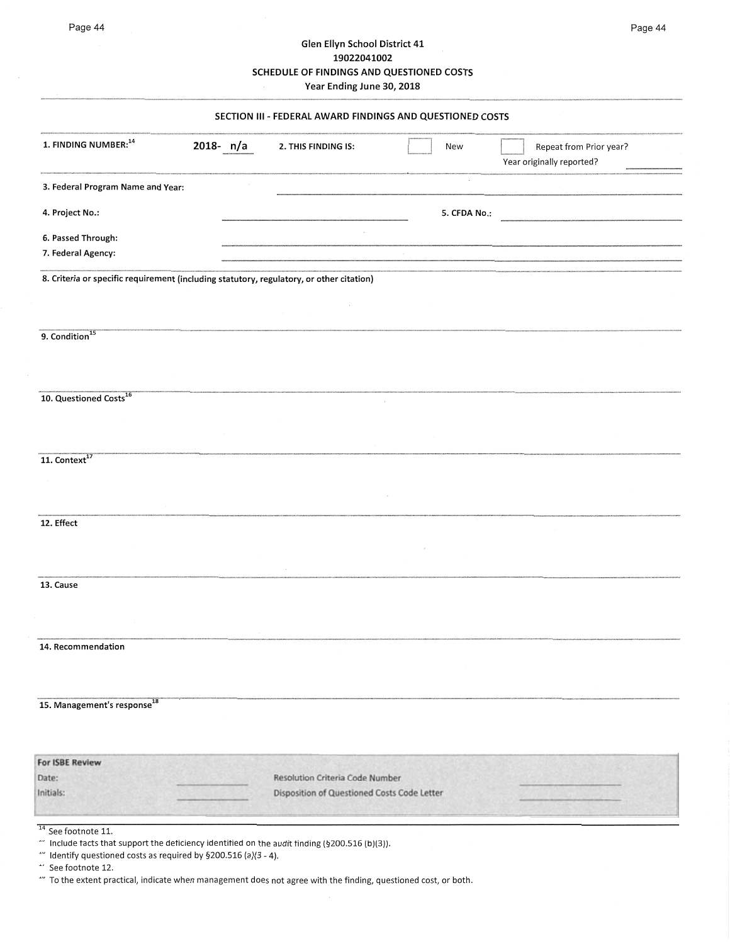# Glen Ellyn School District 41 19022041002 SCHEDULE OF FINDINGS AND QUESTIONED COSTS

Year Ending June 30, 2018

| SECTION III - FEDERAL AWARD FINDINGS AND QUESTIONED COSTS                                |             |                                                                                       |              |                                                      |
|------------------------------------------------------------------------------------------|-------------|---------------------------------------------------------------------------------------|--------------|------------------------------------------------------|
| 1. FINDING NUMBER: <sup>14</sup>                                                         | 2018- $n/a$ | 2. THIS FINDING IS:                                                                   | New          | Repeat from Prior year?<br>Year originally reported? |
| 3. Federal Program Name and Year:                                                        |             |                                                                                       |              |                                                      |
| 4. Project No.:                                                                          |             |                                                                                       | 5. CFDA No.: |                                                      |
| 6. Passed Through:<br>7. Federal Agency:                                                 |             |                                                                                       |              |                                                      |
| 8. Criteria or specific requirement (including statutory, regulatory, or other citation) |             |                                                                                       |              |                                                      |
|                                                                                          |             |                                                                                       |              |                                                      |
| 9. Condition <sup>15</sup>                                                               |             |                                                                                       |              |                                                      |
|                                                                                          |             |                                                                                       |              |                                                      |
| 10. Questioned Costs <sup>16</sup>                                                       |             |                                                                                       |              |                                                      |
|                                                                                          |             |                                                                                       |              |                                                      |
| 11. Context <sup>17</sup>                                                                |             |                                                                                       |              |                                                      |
|                                                                                          |             |                                                                                       |              |                                                      |
|                                                                                          |             |                                                                                       |              |                                                      |
| 12. Effect                                                                               |             |                                                                                       |              |                                                      |
|                                                                                          |             |                                                                                       |              |                                                      |
| 13. Cause                                                                                |             |                                                                                       |              |                                                      |
|                                                                                          |             |                                                                                       |              |                                                      |
| 14. Recommendation                                                                       |             |                                                                                       |              |                                                      |
|                                                                                          |             |                                                                                       |              |                                                      |
| 15. Management's response <sup>18</sup>                                                  |             |                                                                                       |              |                                                      |
|                                                                                          |             |                                                                                       |              |                                                      |
| <b>For ISBE Review</b>                                                                   |             |                                                                                       |              |                                                      |
| Date:<br>Initials:                                                                       |             | <b>Resolution Criteria Code Number</b><br>Disposition of Questioned Costs Code Letter |              |                                                      |
|                                                                                          |             |                                                                                       |              |                                                      |

"" Identify questioned costs as required by §200.516 (a)(3 - 4).

"' See footnote 12.

"" To the extent practical, indicate when management does not agree with the finding, questioned cost, or both.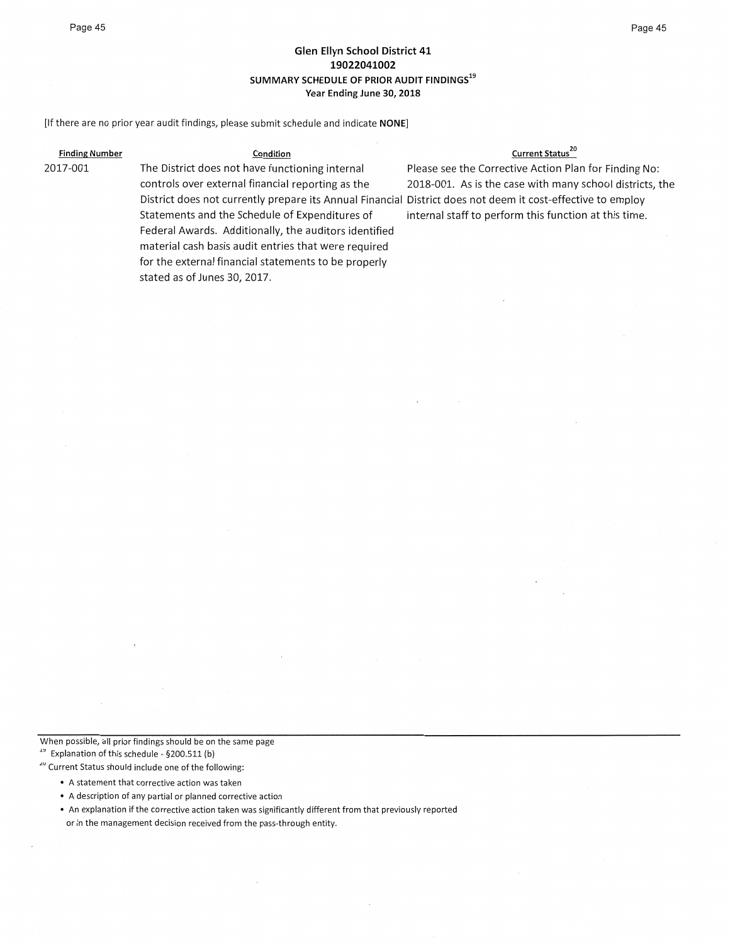# **Glen Ellyn School District 41 19022041002 SUMMARY SCHEDULE OF PRIOR AUDIT FIND1NGS<sup>19</sup> Year Ending June 30, 2018**

[If there are no prior year audit findings, please submit schedule and indicate **NONE]** 

#### **Condition**

# **Finding Number Condition Condition Condition Current Status Current Status Current Status Current Status Current Status Current Status Current Status Current Status Current Status Current Status**

District does not currently prepare its Annual Financial District does not deem it cost-effective to employ Statements and the Schedule of Expenditures of internal staff to perform this function at this time. Federal Awards. Additionally, the auditors identified material cash basis audit entries that were required for the external financial statements to be properly stated as of Junes 30, 2017.

2017-001 The District does not have functioning internal Please see the Corrective Action Plan for Finding No: controls over external financial reporting as the 2018-001. As is the case with many school districts, the

When possible, all prior findings should be on the same page

'" Explanation of this schedule - §200.511 (b)

'" Current Status should include one of the following:

- A statement that corrective action was taken
- A description of any partial or planned corrective action
- An explanation if the corrective action taken was significantly different from that previously reported or in the management decision received from the pass-through entity.